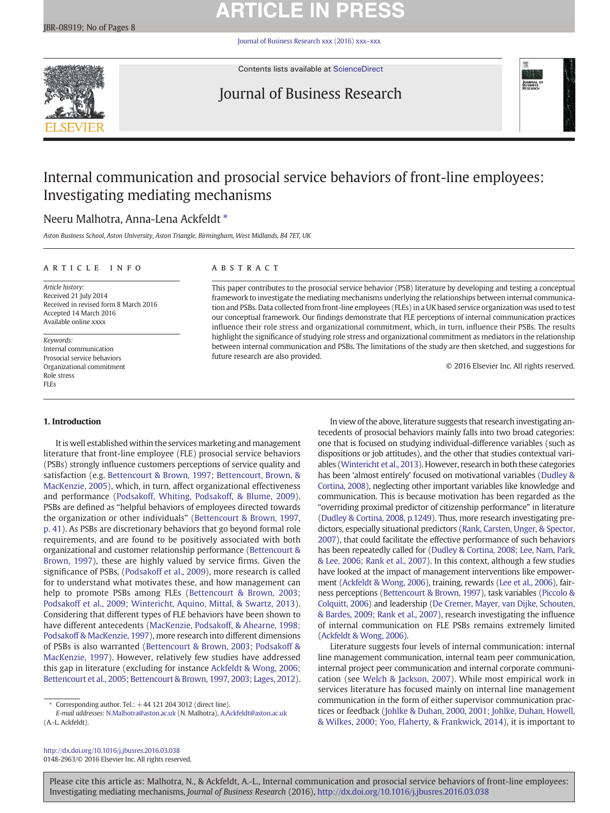# **ARTICLE IN PRESS**

[Journal of Business Research xxx \(2016\) xxx](http://dx.doi.org/10.1016/j.jbusres.2016.03.038)–xxx



Contents lists available at [ScienceDirect](http://www.sciencedirect.com/science/journal/01482963)

# Journal of Business Research



# Internal communication and prosocial service behaviors of front-line employees: Investigating mediating mechanisms

# Neeru Malhotra, Anna-Lena Ackfeldt \*

Aston Business School, Aston University, Aston Triangle, Birmingham, West Midlands, B4 7ET, UK

# article info abstract

Article history: Received 21 July 2014 Received in revised form 8 March 2016 Accepted 14 March 2016 Available online xxxx

Keywords: Internal communication Prosocial service behaviors Organizational commitment Role stress FLEs

# 1. Introduction

It is well established within the services marketing and management literature that front-line employee (FLE) prosocial service behaviors (PSBs) strongly influence customers perceptions of service quality and satisfaction (e.g. [Bettencourt & Brown, 1997; Bettencourt, Brown, &](#page-6-0) [MacKenzie, 2005\)](#page-6-0), which, in turn, affect organizational effectiveness and performance ([Podsakoff, Whiting, Podsakoff, & Blume, 2009](#page-7-0)). PSBs are defined as "helpful behaviors of employees directed towards the organization or other individuals" ([Bettencourt & Brown, 1997,](#page-6-0) [p. 41](#page-6-0)). As PSBs are discretionary behaviors that go beyond formal role requirements, and are found to be positively associated with both organizational and customer relationship performance ([Bettencourt &](#page-6-0) [Brown, 1997](#page-6-0)), these are highly valued by service firms. Given the significance of PSBs, [\(Podsakoff et al., 2009\)](#page-7-0), more research is called for to understand what motivates these, and how management can help to promote PSBs among FLEs ([Bettencourt & Brown, 2003;](#page-6-0) [Podsakoff et al., 2009; Wintericht, Aquino, Mittal, & Swartz, 2013](#page-6-0)). Considering that different types of FLE behaviors have been shown to have different antecedents [\(MacKenzie, Podsakoff, & Ahearne, 1998;](#page-7-0) [Podsakoff & MacKenzie, 1997\)](#page-7-0), more research into different dimensions of PSBs is also warranted ([Bettencourt & Brown, 2003; Podsakoff &](#page-6-0) [MacKenzie, 1997\)](#page-6-0). However, relatively few studies have addressed this gap in literature (excluding for instance [Ackfeldt & Wong, 2006;](#page-6-0) [Bettencourt et al., 2005; Bettencourt & Brown, 1997, 2003; Lages, 2012](#page-6-0)).

<http://dx.doi.org/10.1016/j.jbusres.2016.03.038> 0148-2963/© 2016 Elsevier Inc. All rights reserved.

This paper contributes to the prosocial service behavior (PSB) literature by developing and testing a conceptual framework to investigate the mediating mechanisms underlying the relationships between internal communication and PSBs. Data collected from front-line employees (FLEs) in a UK based service organization was used to test our conceptual framework. Our findings demonstrate that FLE perceptions of internal communication practices influence their role stress and organizational commitment, which, in turn, influence their PSBs. The results highlight the significance of studying role stress and organizational commitment as mediators in the relationship between internal communication and PSBs. The limitations of the study are then sketched, and suggestions for future research are also provided.

© 2016 Elsevier Inc. All rights reserved.

In view of the above, literature suggests that research investigating antecedents of prosocial behaviors mainly falls into two broad categories: one that is focused on studying individual-difference variables (such as dispositions or job attitudes), and the other that studies contextual variables [\(Wintericht et al., 2013\)](#page-7-0). However, research in both these categories has been 'almost entirely' focused on motivational variables ([Dudley &](#page-6-0) [Cortina, 2008\)](#page-6-0), neglecting other important variables like knowledge and communication. This is because motivation has been regarded as the "overriding proximal predictor of citizenship performance" in literature [\(Dudley & Cortina, 2008, p.1249](#page-6-0)). Thus, more research investigating predictors, especially situational predictors [\(Rank, Carsten, Unger, & Spector,](#page-7-0) [2007](#page-7-0)), that could facilitate the effective performance of such behaviors has been repeatedly called for [\(Dudley & Cortina, 2008; Lee, Nam, Park,](#page-6-0) [& Lee, 2006; Rank et al., 2007\)](#page-6-0). In this context, although a few studies have looked at the impact of management interventions like empowerment ([Ackfeldt & Wong, 2006](#page-6-0)), training, rewards [\(Lee et al., 2006\)](#page-6-0), fairness perceptions [\(Bettencourt & Brown, 1997](#page-6-0)), task variables ([Piccolo &](#page-7-0) [Colquitt, 2006\)](#page-7-0) and leadership ([De Cremer, Mayer, van Dijke, Schouten,](#page-6-0) [& Bardes, 2009; Rank et al., 2007](#page-6-0)), research investigating the influence of internal communication on FLE PSBs remains extremely limited [\(Ackfeldt & Wong, 2006](#page-6-0)).

Literature suggests four levels of internal communication: internal line management communication, internal team peer communication, internal project peer communication and internal corporate communication (see [Welch & Jackson, 2007](#page-7-0)). While most empirical work in services literature has focused mainly on internal line management communication in the form of either supervisor communication practices or feedback [\(Johlke & Duhan, 2000, 2001; Johlke, Duhan, Howell,](#page-6-0) [& Wilkes, 2000; Yoo, Flaherty, & Frankwick, 2014](#page-6-0)), it is important to

Corresponding author. Tel.:  $+44$  121 204 3012 (direct line).

E-mail addresses: N.Malhotra@aston.ac.uk (N. Malhotra), [A.Ackfeldt@aston.ac.uk](mailto:A.Ackfeldt@aston.ac.uk) (A.-L. Ackfeldt).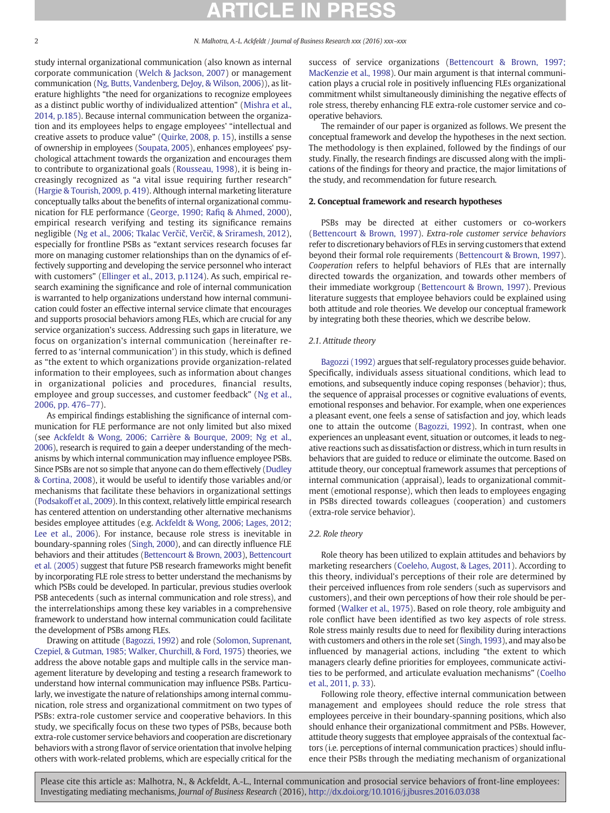study internal organizational communication (also known as internal corporate communication [\(Welch & Jackson, 2007](#page-7-0)) or management communication ([Ng, Butts, Vandenberg, DeJoy, & Wilson, 2006\)](#page-7-0)), as literature highlights "the need for organizations to recognize employees as a distinct public worthy of individualized attention" [\(Mishra et al.,](#page-7-0) [2014, p.185\)](#page-7-0). Because internal communication between the organization and its employees helps to engage employees' "intellectual and creative assets to produce value" [\(Quirke, 2008, p. 15](#page-7-0)), instills a sense of ownership in employees [\(Soupata, 2005](#page-7-0)), enhances employees' psychological attachment towards the organization and encourages them to contribute to organizational goals [\(Rousseau, 1998\)](#page-7-0), it is being increasingly recognized as "a vital issue requiring further research" [\(Hargie & Tourish, 2009, p. 419](#page-6-0)). Although internal marketing literature conceptually talks about the benefits of internal organizational communication for FLE performance (George, 1990; Rafi[q & Ahmed, 2000](#page-6-0)), empirical research verifying and testing its significance remains negligible ([Ng et al., 2006; Tkalac Ver](#page-7-0)čič, Verčič, & Sriramesh, 2012), especially for frontline PSBs as "extant services research focuses far more on managing customer relationships than on the dynamics of effectively supporting and developing the service personnel who interact with customers" [\(Ellinger et al., 2013, p.1124](#page-6-0)). As such, empirical research examining the significance and role of internal communication is warranted to help organizations understand how internal communication could foster an effective internal service climate that encourages and supports prosocial behaviors among FLEs, which are crucial for any service organization's success. Addressing such gaps in literature, we focus on organization's internal communication (hereinafter referred to as 'internal communication') in this study, which is defined as "the extent to which organizations provide organization-related information to their employees, such as information about changes in organizational policies and procedures, financial results, employee and group successes, and customer feedback" ([Ng et al.,](#page-7-0) [2006, pp. 476](#page-7-0)–77).

As empirical findings establishing the significance of internal communication for FLE performance are not only limited but also mixed (see [Ackfeldt & Wong, 2006; Carrière & Bourque, 2009; Ng et al.,](#page-6-0) [2006](#page-6-0)), research is required to gain a deeper understanding of the mechanisms by which internal communication may influence employee PSBs. Since PSBs are not so simple that anyone can do them effectively ([Dudley](#page-6-0) [& Cortina, 2008\)](#page-6-0), it would be useful to identify those variables and/or mechanisms that facilitate these behaviors in organizational settings [\(Podsakoff et al., 2009\)](#page-7-0). In this context, relatively little empirical research has centered attention on understanding other alternative mechanisms besides employee attitudes (e.g. [Ackfeldt & Wong, 2006; Lages, 2012;](#page-6-0) [Lee et al., 2006\)](#page-6-0). For instance, because role stress is inevitable in boundary-spanning roles ([Singh, 2000\)](#page-7-0), and can directly influence FLE behaviors and their attitudes ([Bettencourt & Brown, 2003](#page-6-0)), [Bettencourt](#page-6-0) [et al. \(2005\)](#page-6-0) suggest that future PSB research frameworks might benefit by incorporating FLE role stress to better understand the mechanisms by which PSBs could be developed. In particular, previous studies overlook PSB antecedents (such as internal communication and role stress), and the interrelationships among these key variables in a comprehensive framework to understand how internal communication could facilitate the development of PSBs among FLEs.

Drawing on attitude ([Bagozzi, 1992](#page-6-0)) and role [\(Solomon, Suprenant,](#page-7-0) [Czepiel, & Gutman, 1985; Walker, Churchill, & Ford, 1975](#page-7-0)) theories, we address the above notable gaps and multiple calls in the service management literature by developing and testing a research framework to understand how internal communication may influence PSBs. Particularly, we investigate the nature of relationships among internal communication, role stress and organizational commitment on two types of PSBs: extra-role customer service and cooperative behaviors. In this study, we specifically focus on these two types of PSBs, because both extra-role customer service behaviors and cooperation are discretionary behaviors with a strong flavor of service orientation that involve helping others with work-related problems, which are especially critical for the

success of service organizations ([Bettencourt & Brown, 1997;](#page-6-0) [MacKenzie et al., 1998](#page-6-0)). Our main argument is that internal communication plays a crucial role in positively influencing FLEs organizational commitment whilst simultaneously diminishing the negative effects of role stress, thereby enhancing FLE extra-role customer service and cooperative behaviors.

The remainder of our paper is organized as follows. We present the conceptual framework and develop the hypotheses in the next section. The methodology is then explained, followed by the findings of our study. Finally, the research findings are discussed along with the implications of the findings for theory and practice, the major limitations of the study, and recommendation for future research.

# 2. Conceptual framework and research hypotheses

PSBs may be directed at either customers or co-workers [\(Bettencourt & Brown, 1997](#page-6-0)). Extra-role customer service behaviors refer to discretionary behaviors of FLEs in serving customers that extend beyond their formal role requirements [\(Bettencourt & Brown, 1997](#page-6-0)). Cooperation refers to helpful behaviors of FLEs that are internally directed towards the organization, and towards other members of their immediate workgroup ([Bettencourt & Brown, 1997](#page-6-0)). Previous literature suggests that employee behaviors could be explained using both attitude and role theories. We develop our conceptual framework by integrating both these theories, which we describe below.

# 2.1. Attitude theory

[Bagozzi \(1992\)](#page-6-0) argues that self-regulatory processes guide behavior. Specifically, individuals assess situational conditions, which lead to emotions, and subsequently induce coping responses (behavior); thus, the sequence of appraisal processes or cognitive evaluations of events, emotional responses and behavior. For example, when one experiences a pleasant event, one feels a sense of satisfaction and joy, which leads one to attain the outcome ([Bagozzi, 1992](#page-6-0)). In contrast, when one experiences an unpleasant event, situation or outcomes, it leads to negative reactions such as dissatisfaction or distress, which in turn results in behaviors that are guided to reduce or eliminate the outcome. Based on attitude theory, our conceptual framework assumes that perceptions of internal communication (appraisal), leads to organizational commitment (emotional response), which then leads to employees engaging in PSBs directed towards colleagues (cooperation) and customers (extra-role service behavior).

# 2.2. Role theory

Role theory has been utilized to explain attitudes and behaviors by marketing researchers [\(Coeleho, Augost, & Lages, 2011](#page-6-0)). According to this theory, individual's perceptions of their role are determined by their perceived influences from role senders (such as supervisors and customers), and their own perceptions of how their role should be performed [\(Walker et al., 1975](#page-7-0)). Based on role theory, role ambiguity and role conflict have been identified as two key aspects of role stress. Role stress mainly results due to need for flexibility during interactions with customers and others in the role set [\(Singh, 1993](#page-7-0)), and may also be influenced by managerial actions, including "the extent to which managers clearly define priorities for employees, communicate activities to be performed, and articulate evaluation mechanisms" ([Coelho](#page-6-0) [et al., 2011, p. 33\)](#page-6-0).

Following role theory, effective internal communication between management and employees should reduce the role stress that employees perceive in their boundary-spanning positions, which also should enhance their organizational commitment and PSBs. However, attitude theory suggests that employee appraisals of the contextual factors (i.e. perceptions of internal communication practices) should influence their PSBs through the mediating mechanism of organizational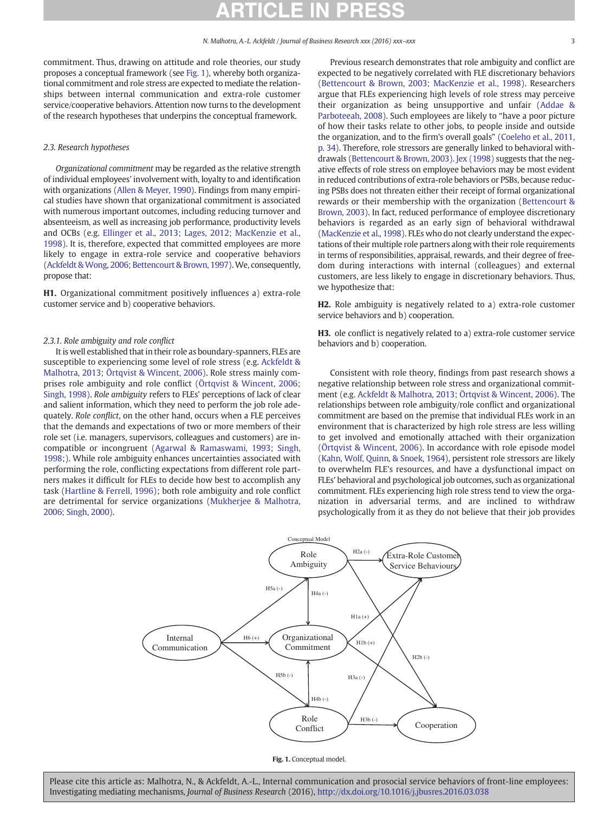commitment. Thus, drawing on attitude and role theories, our study proposes a conceptual framework (see Fig. 1), whereby both organizational commitment and role stress are expected to mediate the relationships between internal communication and extra-role customer service/cooperative behaviors. Attention now turns to the development of the research hypotheses that underpins the conceptual framework.

## 2.3. Research hypotheses

Organizational commitment may be regarded as the relative strength of individual employees' involvement with, loyalty to and identification with organizations [\(Allen & Meyer, 1990](#page-6-0)). Findings from many empirical studies have shown that organizational commitment is associated with numerous important outcomes, including reducing turnover and absenteeism, as well as increasing job performance, productivity levels and OCBs (e.g. [Ellinger et al., 2013; Lages, 2012; MacKenzie et al.,](#page-6-0) [1998\)](#page-6-0). It is, therefore, expected that committed employees are more likely to engage in extra-role service and cooperative behaviors [\(Ackfeldt & Wong, 2006; Bettencourt & Brown, 1997](#page-6-0)). We, consequently, propose that:

H1. Organizational commitment positively influences a) extra-role customer service and b) cooperative behaviors.

## 2.3.1. Role ambiguity and role conflict

It is well established that in their role as boundary-spanners, FLEs are susceptible to experiencing some level of role stress (e.g. [Ackfeldt &](#page-6-0) [Malhotra, 2013; Örtqvist & Wincent, 2006\)](#page-6-0). Role stress mainly comprises role ambiguity and role conflict [\(Örtqvist & Wincent, 2006;](#page-7-0) [Singh, 1998\)](#page-7-0). Role ambiguity refers to FLEs' perceptions of lack of clear and salient information, which they need to perform the job role adequately. Role conflict, on the other hand, occurs when a FLE perceives that the demands and expectations of two or more members of their role set (i.e. managers, supervisors, colleagues and customers) are incompatible or incongruent ([Agarwal & Ramaswami, 1993; Singh,](#page-6-0) [1998;](#page-6-0)). While role ambiguity enhances uncertainties associated with performing the role, conflicting expectations from different role partners makes it difficult for FLEs to decide how best to accomplish any task [\(Hartline & Ferrell, 1996\)](#page-6-0); both role ambiguity and role conflict are detrimental for service organizations [\(Mukherjee & Malhotra,](#page-7-0) [2006; Singh, 2000\)](#page-7-0).

Previous research demonstrates that role ambiguity and conflict are expected to be negatively correlated with FLE discretionary behaviors [\(Bettencourt & Brown, 2003; MacKenzie et al., 1998\)](#page-6-0). Researchers argue that FLEs experiencing high levels of role stress may perceive their organization as being unsupportive and unfair ([Addae &](#page-6-0) [Parboteeah, 2008\)](#page-6-0). Such employees are likely to "have a poor picture of how their tasks relate to other jobs, to people inside and outside the organization, and to the firm's overall goals" [\(Coeleho et al., 2011,](#page-6-0) [p. 34\)](#page-6-0). Therefore, role stressors are generally linked to behavioral withdrawals ([Bettencourt & Brown, 2003\)](#page-6-0). [Jex \(1998\)](#page-6-0) suggests that the negative effects of role stress on employee behaviors may be most evident in reduced contributions of extra-role behaviors or PSBs, because reducing PSBs does not threaten either their receipt of formal organizational rewards or their membership with the organization [\(Bettencourt &](#page-6-0) [Brown, 2003](#page-6-0)). In fact, reduced performance of employee discretionary behaviors is regarded as an early sign of behavioral withdrawal [\(MacKenzie et al., 1998\)](#page-7-0). FLEs who do not clearly understand the expectations of their multiple role partners along with their role requirements in terms of responsibilities, appraisal, rewards, and their degree of freedom during interactions with internal (colleagues) and external customers, are less likely to engage in discretionary behaviors. Thus, we hypothesize that:

H2. Role ambiguity is negatively related to a) extra-role customer service behaviors and b) cooperation.

H3. ole conflict is negatively related to a) extra-role customer service behaviors and b) cooperation.

Consistent with role theory, findings from past research shows a negative relationship between role stress and organizational commitment (e.g. [Ackfeldt & Malhotra, 2013; Örtqvist & Wincent, 2006\)](#page-6-0). The relationships between role ambiguity/role conflict and organizational commitment are based on the premise that individual FLEs work in an environment that is characterized by high role stress are less willing to get involved and emotionally attached with their organization [\(Örtqvist & Wincent, 2006\)](#page-7-0). In accordance with role episode model [\(Kahn, Wolf, Quinn, & Snoek, 1964](#page-6-0)), persistent role stressors are likely to overwhelm FLE's resources, and have a dysfunctional impact on FLEs' behavioral and psychological job outcomes, such as organizational commitment. FLEs experiencing high role stress tend to view the organization in adversarial terms, and are inclined to withdraw psychologically from it as they do not believe that their job provides



Fig. 1. Conceptual model.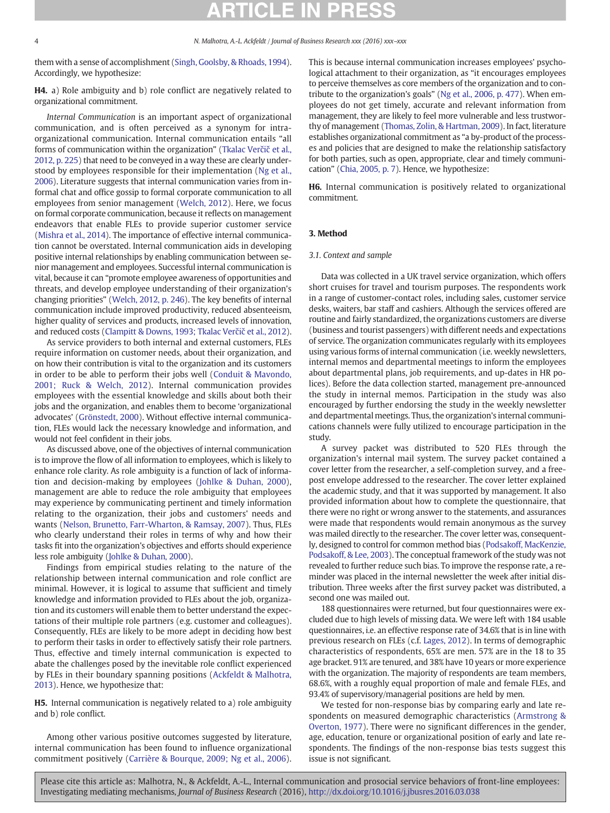them with a sense of accomplishment ([Singh, Goolsby, & Rhoads, 1994\)](#page-7-0). Accordingly, we hypothesize:

H4. a) Role ambiguity and b) role conflict are negatively related to organizational commitment.

Internal Communication is an important aspect of organizational communication, and is often perceived as a synonym for intraorganizational communication. Internal communication entails "all forms of communication within the organization" [\(Tkalac Ver](#page-7-0)čič et al., [2012, p. 225](#page-7-0)) that need to be conveyed in a way these are clearly under-stood by employees responsible for their implementation [\(Ng et al.,](#page-7-0) [2006\)](#page-7-0). Literature suggests that internal communication varies from informal chat and office gossip to formal corporate communication to all employees from senior management ([Welch, 2012](#page-7-0)). Here, we focus on formal corporate communication, because it reflects on management endeavors that enable FLEs to provide superior customer service [\(Mishra et al., 2014\)](#page-7-0). The importance of effective internal communication cannot be overstated. Internal communication aids in developing positive internal relationships by enabling communication between senior management and employees. Successful internal communication is vital, because it can "promote employee awareness of opportunities and threats, and develop employee understanding of their organization's changing priorities" ([Welch, 2012, p. 246](#page-7-0)). The key benefits of internal communication include improved productivity, reduced absenteeism, higher quality of services and products, increased levels of innovation, and reduced costs ([Clampitt & Downs, 1993; Tkalac Ver](#page-6-0)čič et al., 2012).

As service providers to both internal and external customers, FLEs require information on customer needs, about their organization, and on how their contribution is vital to the organization and its customers in order to be able to perform their jobs well ([Conduit & Mavondo,](#page-6-0) [2001; Ruck & Welch, 2012](#page-6-0)). Internal communication provides employees with the essential knowledge and skills about both their jobs and the organization, and enables them to become 'organizational advocates' [\(Grönstedt, 2000](#page-6-0)). Without effective internal communication, FLEs would lack the necessary knowledge and information, and would not feel confident in their jobs.

As discussed above, one of the objectives of internal communication is to improve the flow of all information to employees, which is likely to enhance role clarity. As role ambiguity is a function of lack of information and decision-making by employees ([Johlke & Duhan, 2000](#page-6-0)), management are able to reduce the role ambiguity that employees may experience by communicating pertinent and timely information relating to the organization, their jobs and customers' needs and wants ([Nelson, Brunetto, Farr-Wharton, & Ramsay, 2007\)](#page-7-0). Thus, FLEs who clearly understand their roles in terms of why and how their tasks fit into the organization's objectives and efforts should experience less role ambiguity [\(Johlke & Duhan, 2000](#page-6-0)).

Findings from empirical studies relating to the nature of the relationship between internal communication and role conflict are minimal. However, it is logical to assume that sufficient and timely knowledge and information provided to FLEs about the job, organization and its customers will enable them to better understand the expectations of their multiple role partners (e.g. customer and colleagues). Consequently, FLEs are likely to be more adept in deciding how best to perform their tasks in order to effectively satisfy their role partners. Thus, effective and timely internal communication is expected to abate the challenges posed by the inevitable role conflict experienced by FLEs in their boundary spanning positions ([Ackfeldt & Malhotra,](#page-6-0) [2013\)](#page-6-0). Hence, we hypothesize that:

H5. Internal communication is negatively related to a) role ambiguity and b) role conflict.

Among other various positive outcomes suggested by literature, internal communication has been found to influence organizational commitment positively [\(Carrière & Bourque, 2009; Ng et al., 2006](#page-6-0)). This is because internal communication increases employees' psychological attachment to their organization, as "it encourages employees to perceive themselves as core members of the organization and to contribute to the organization's goals" [\(Ng et al., 2006, p. 477](#page-7-0)). When employees do not get timely, accurate and relevant information from management, they are likely to feel more vulnerable and less trustworthy of management ([Thomas, Zolin, & Hartman, 2009\)](#page-7-0). In fact, literature establishes organizational commitment as "a by-product of the processes and policies that are designed to make the relationship satisfactory for both parties, such as open, appropriate, clear and timely communication" [\(Chia, 2005, p. 7](#page-6-0)). Hence, we hypothesize:

H6. Internal communication is positively related to organizational commitment.

# 3. Method

# 3.1. Context and sample

Data was collected in a UK travel service organization, which offers short cruises for travel and tourism purposes. The respondents work in a range of customer-contact roles, including sales, customer service desks, waiters, bar staff and cashiers. Although the services offered are routine and fairly standardized, the organizations customers are diverse (business and tourist passengers) with different needs and expectations of service. The organization communicates regularly with its employees using various forms of internal communication (i.e. weekly newsletters, internal memos and departmental meetings to inform the employees about departmental plans, job requirements, and up-dates in HR polices). Before the data collection started, management pre-announced the study in internal memos. Participation in the study was also encouraged by further endorsing the study in the weekly newsletter and departmental meetings. Thus, the organization's internal communications channels were fully utilized to encourage participation in the study.

A survey packet was distributed to 520 FLEs through the organization's internal mail system. The survey packet contained a cover letter from the researcher, a self-completion survey, and a freepost envelope addressed to the researcher. The cover letter explained the academic study, and that it was supported by management. It also provided information about how to complete the questionnaire, that there were no right or wrong answer to the statements, and assurances were made that respondents would remain anonymous as the survey was mailed directly to the researcher. The cover letter was, consequently, designed to control for common method bias ([Podsakoff, MacKenzie,](#page-7-0) [Podsakoff, & Lee, 2003\)](#page-7-0). The conceptual framework of the study was not revealed to further reduce such bias. To improve the response rate, a reminder was placed in the internal newsletter the week after initial distribution. Three weeks after the first survey packet was distributed, a second one was mailed out.

188 questionnaires were returned, but four questionnaires were excluded due to high levels of missing data. We were left with 184 usable questionnaires, i.e. an effective response rate of 34.6% that is in line with previous research on FLEs (c.f. [Lages, 2012\)](#page-6-0). In terms of demographic characteristics of respondents, 65% are men. 57% are in the 18 to 35 age bracket. 91% are tenured, and 38% have 10 years or more experience with the organization. The majority of respondents are team members, 68.6%, with a roughly equal proportion of male and female FLEs, and 93.4% of supervisory/managerial positions are held by men.

We tested for non-response bias by comparing early and late respondents on measured demographic characteristics ([Armstrong &](#page-6-0) [Overton, 1977](#page-6-0)). There were no significant differences in the gender, age, education, tenure or organizational position of early and late respondents. The findings of the non-response bias tests suggest this issue is not significant.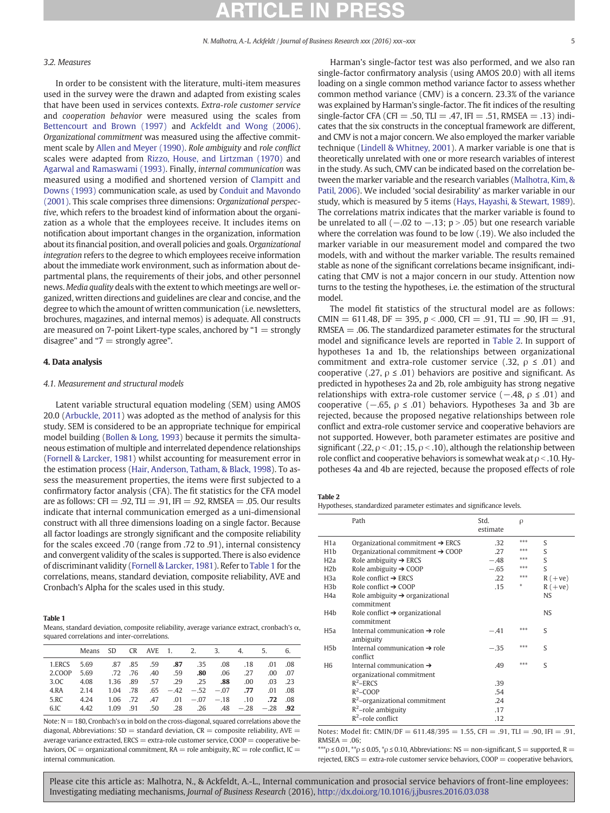# 3.2. Measures

In order to be consistent with the literature, multi-item measures used in the survey were the drawn and adapted from existing scales that have been used in services contexts. Extra-role customer service and cooperation behavior were measured using the scales from [Bettencourt and Brown \(1997\)](#page-6-0) and [Ackfeldt and Wong \(2006\).](#page-6-0) Organizational commitment was measured using the affective commitment scale by [Allen and Meyer \(1990\)](#page-6-0). Role ambiguity and role conflict scales were adapted from [Rizzo, House, and Lirtzman \(1970\)](#page-7-0) and [Agarwal and Ramaswami \(1993\).](#page-6-0) Finally, internal communication was measured using a modified and shortened version of [Clampitt and](#page-6-0) [Downs \(1993\)](#page-6-0) communication scale, as used by [Conduit and Mavondo](#page-6-0) [\(2001\)](#page-6-0). This scale comprises three dimensions: Organizational perspective, which refers to the broadest kind of information about the organization as a whole that the employees receive. It includes items on notification about important changes in the organization, information about its financial position, and overall policies and goals. Organizational integration refers to the degree to which employees receive information about the immediate work environment, such as information about departmental plans, the requirements of their jobs, and other personnel news. Media quality deals with the extent to which meetings are well organized, written directions and guidelines are clear and concise, and the degree to which the amount of written communication (i.e. newsletters, brochures, magazines, and internal memos) is adequate. All constructs are measured on 7-point Likert-type scales, anchored by " $1 =$  strongly disagree" and " $7 =$  strongly agree".

## 4. Data analysis

## 4.1. Measurement and structural models

Latent variable structural equation modeling (SEM) using AMOS 20.0 ([Arbuckle, 2011](#page-6-0)) was adopted as the method of analysis for this study. SEM is considered to be an appropriate technique for empirical model building [\(Bollen & Long, 1993](#page-6-0)) because it permits the simultaneous estimation of multiple and interrelated dependence relationships [\(Fornell & Larcker, 1981\)](#page-6-0) whilst accounting for measurement error in the estimation process ([Hair, Anderson, Tatham, & Black, 1998\)](#page-6-0). To assess the measurement properties, the items were first subjected to a confirmatory factor analysis (CFA). The fit statistics for the CFA model are as follows:  $CFI = .92$ ,  $TLI = .91$ ,  $IF = .92$ , RMSEA = .05. Our results indicate that internal communication emerged as a uni-dimensional construct with all three dimensions loading on a single factor. Because all factor loadings are strongly significant and the composite reliability for the scales exceed .70 (range from .72 to .91), internal consistency and convergent validity of the scales is supported. There is also evidence of discriminant validity ([Fornell & Larcker, 1981\)](#page-6-0). Refer to Table 1 for the correlations, means, standard deviation, composite reliability, AVE and Cronbach's Alpha for the scales used in this study.

### Table 1

Means, standard deviation, composite reliability, average variance extract, cronbach's α, squared correlations and inter-correlations.

|              |      |  |  |                          | 6.                                                                                                                                                                                                                                                                           |
|--------------|------|--|--|--------------------------|------------------------------------------------------------------------------------------------------------------------------------------------------------------------------------------------------------------------------------------------------------------------------|
|              |      |  |  |                          |                                                                                                                                                                                                                                                                              |
|              |      |  |  | $.00 \quad .07$          |                                                                                                                                                                                                                                                                              |
| 3.0C<br>4.08 |      |  |  | .03. .23                 |                                                                                                                                                                                                                                                                              |
|              |      |  |  |                          |                                                                                                                                                                                                                                                                              |
| 4.24         |      |  |  |                          |                                                                                                                                                                                                                                                                              |
|              |      |  |  |                          |                                                                                                                                                                                                                                                                              |
|              | 4.42 |  |  | 1.36 .89 .57 .29 .25 .88 | Means SD CR AVE 1, 2, 3, 4, 5,<br>1.ERCS 5.69 87 85 59 87 35 08 18 01 08<br>2.COOP 5.69 .72 .76 .40 .59 . <b>80</b> .06 .27<br>$.00\,$<br>4.RA 2.14 1.04 78 65 - 42 - 52 - 07 77 01 08<br>1.06 .72 .47 .01 -.07 -.18 .10 .72 .08<br>$1.09$ .91 .50 .28 .26 .48 -.28 -.28 .92 |

Note:  $N = 180$ , Cronbach's  $\alpha$  in bold on the cross-diagonal, squared correlations above the diagonal, Abbreviations:  $SD =$  standard deviation,  $CR =$  composite reliability,  $AVE =$ average variance extracted,  $ERCS = extra$ -role customer service,  $COOP =$  cooperative behaviors,  $OC =$  organizational commitment,  $RA =$  role ambiguity,  $RC =$  role conflict,  $IC =$ internal communication.

Harman's single-factor test was also performed, and we also ran single-factor confirmatory analysis (using AMOS 20.0) with all items loading on a single common method variance factor to assess whether common method variance (CMV) is a concern. 23.3% of the variance was explained by Harman's single-factor. The fit indices of the resulting single-factor CFA (CFI = .50, TLI = .47, IFI = .51, RMSEA = .13) indicates that the six constructs in the conceptual framework are different, and CMV is not a major concern. We also employed the marker variable technique [\(Lindell & Whitney, 2001\)](#page-6-0). A marker variable is one that is theoretically unrelated with one or more research variables of interest in the study. As such, CMV can be indicated based on the correlation between the marker variable and the research variables [\(Malhotra, Kim, &](#page-7-0) [Patil, 2006](#page-7-0)). We included 'social desirability' as marker variable in our study, which is measured by 5 items [\(Hays, Hayashi, & Stewart, 1989](#page-6-0)). The correlations matrix indicates that the marker variable is found to be unrelated to all  $(-.02 \text{ to } -.13; \text{ p} > .05)$  but one research variable where the correlation was found to be low (.19). We also included the marker variable in our measurement model and compared the two models, with and without the marker variable. The results remained stable as none of the significant correlations became insignificant, indicating that CMV is not a major concern in our study. Attention now turns to the testing the hypotheses, i.e. the estimation of the structural model.

The model fit statistics of the structural model are as follows: CMIN =  $611.48$ , DF = 395, p < .000, CFI = .91, TLI = .90, IFI = .91,  $RMSEA = .06$ . The standardized parameter estimates for the structural model and significance levels are reported in Table 2. In support of hypotheses 1a and 1b, the relationships between organizational commitment and extra-role customer service (.32,  $\rho \le .01$ ) and cooperative (.27,  $\rho \leq .01$ ) behaviors are positive and significant. As predicted in hypotheses 2a and 2b, role ambiguity has strong negative relationships with extra-role customer service ( $-.48$ ,  $\rho \le .01$ ) and cooperative (−.65, ρ ≤ .01) behaviors. Hypotheses 3a and 3b are rejected, because the proposed negative relationships between role conflict and extra-role customer service and cooperative behaviors are not supported. However, both parameter estimates are positive and significant (.22,  $\rho < .01$ ; .15,  $\rho < .10$ ), although the relationship between role conflict and cooperative behaviors is somewhat weak at  $\rho < 10$ . Hypotheses 4a and 4b are rejected, because the proposed effects of role

Table 2

Hypotheses, standardized parameter estimates and significance levels.

|                  | Path                                                              | Std.<br>estimate | ρ   |           |
|------------------|-------------------------------------------------------------------|------------------|-----|-----------|
| H <sub>1</sub> a | Organizational commitment $\rightarrow$ ERCS                      | .32              | *** | S         |
| H <sub>1</sub> b | Organizational commitment $\rightarrow$ COOP                      | .27              | *** | S         |
| H <sub>2</sub> a | Role ambiguity $\rightarrow$ ERCS                                 | $-.48$           | *** | S         |
| H2b              | Role ambiguity $\rightarrow$ COOP                                 | $-.65$           | *** | S         |
| H3a              | Role conflict $\rightarrow$ ERCS                                  | .22              | *** | $R (+ve)$ |
| H <sub>3</sub> b | Role conflict $\rightarrow$ COOP                                  | .15              | *   | $R (+ve)$ |
| H4a              | Role ambiguity $\rightarrow$ organizational<br>commitment         |                  |     | <b>NS</b> |
| H4b              | Role conflict $\rightarrow$ organizational<br>commitment          |                  |     | <b>NS</b> |
| H5a              | Internal communication $\rightarrow$ role<br>ambiguity            | $-.41$           | *** | S         |
| H5h              | Internal communication $\rightarrow$ role<br>conflict             | $-.35$           | *** | S         |
| H <sub>6</sub>   | Internal communication $\rightarrow$<br>organizational commitment | .49              | *** | S         |
|                  | $R^2$ –ERCS                                                       | .39              |     |           |
|                  | $R^2$ –COOP                                                       | .54              |     |           |
|                  | $R^2$ -organizational commitment                                  | .24              |     |           |
|                  | $R^2$ -role ambiguity                                             | .17              |     |           |
|                  | $R^2$ -role conflict                                              | .12              |     |           |

Notes: Model fit: CMIN/DF =  $611.48/395 = 1.55$ , CFI = .91, TLI = .90, IFI = .91,  $RMSEA = .06$ :

\*\*\* $\rho$  ≤ 0.01, \*\* $\rho$  ≤ 0.05, \* $\rho$  ≤ 0.10, Abbreviations: NS = non-significant, S = supported, R = rejected,  $ERCS = extra-role customer service behaviors, COOP = cooperative behaviors,$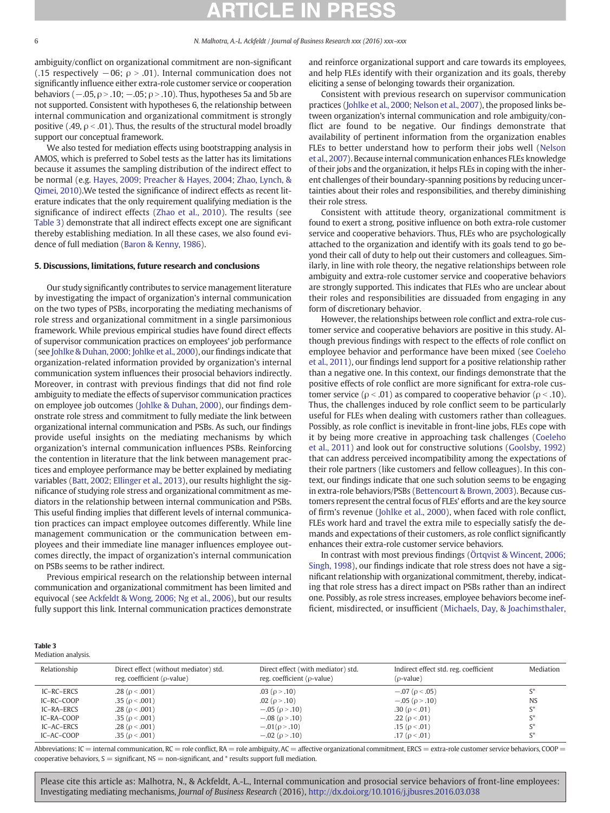ambiguity/conflict on organizational commitment are non-significant (.15 respectively  $-06$ ;  $\rho > .01$ ). Internal communication does not significantly influence either extra-role customer service or cooperation behaviors ( $-0.05$ ,  $\rho > 0.10$ ;  $-0.05$ ;  $\rho > 0.10$ ). Thus, hypotheses 5a and 5b are not supported. Consistent with hypotheses 6, the relationship between internal communication and organizational commitment is strongly positive (.49,  $\rho < .01$ ). Thus, the results of the structural model broadly support our conceptual framework.

We also tested for mediation effects using bootstrapping analysis in AMOS, which is preferred to Sobel tests as the latter has its limitations because it assumes the sampling distribution of the indirect effect to be normal (e.g. [Hayes, 2009; Preacher & Hayes, 2004; Zhao, Lynch, &](#page-6-0) [Qimei, 2010\)](#page-6-0).We tested the significance of indirect effects as recent literature indicates that the only requirement qualifying mediation is the significance of indirect effects ([Zhao et al., 2010](#page-7-0)). The results (see Table 3) demonstrate that all indirect effects except one are significant thereby establishing mediation. In all these cases, we also found evidence of full mediation [\(Baron & Kenny, 1986](#page-6-0)).

## 5. Discussions, limitations, future research and conclusions

Our study significantly contributes to service management literature by investigating the impact of organization's internal communication on the two types of PSBs, incorporating the mediating mechanisms of role stress and organizational commitment in a single parsimonious framework. While previous empirical studies have found direct effects of supervisor communication practices on employees' job performance (see [Johlke & Duhan, 2000; Johlke et al., 2000](#page-6-0)), our findings indicate that organization-related information provided by organization's internal communication system influences their prosocial behaviors indirectly. Moreover, in contrast with previous findings that did not find role ambiguity to mediate the effects of supervisor communication practices on employee job outcomes ([Johlke & Duhan, 2000\)](#page-6-0), our findings demonstrate role stress and commitment to fully mediate the link between organizational internal communication and PSBs. As such, our findings provide useful insights on the mediating mechanisms by which organization's internal communication influences PSBs. Reinforcing the contention in literature that the link between management practices and employee performance may be better explained by mediating variables ([Batt, 2002; Ellinger et al., 2013\)](#page-6-0), our results highlight the significance of studying role stress and organizational commitment as mediators in the relationship between internal communication and PSBs. This useful finding implies that different levels of internal communication practices can impact employee outcomes differently. While line management communication or the communication between employees and their immediate line manager influences employee outcomes directly, the impact of organization's internal communication on PSBs seems to be rather indirect.

Previous empirical research on the relationship between internal communication and organizational commitment has been limited and equivocal (see [Ackfeldt & Wong, 2006; Ng et al., 2006](#page-6-0)), but our results fully support this link. Internal communication practices demonstrate and reinforce organizational support and care towards its employees, and help FLEs identify with their organization and its goals, thereby eliciting a sense of belonging towards their organization.

Consistent with previous research on supervisor communication practices [\(Johlke et al., 2000; Nelson et al., 2007\)](#page-6-0), the proposed links between organization's internal communication and role ambiguity/conflict are found to be negative. Our findings demonstrate that availability of pertinent information from the organization enables FLEs to better understand how to perform their jobs well [\(Nelson](#page-7-0) [et al., 2007](#page-7-0)). Because internal communication enhances FLEs knowledge of their jobs and the organization, it helps FLEs in coping with the inherent challenges of their boundary-spanning positions by reducing uncertainties about their roles and responsibilities, and thereby diminishing their role stress.

Consistent with attitude theory, organizational commitment is found to exert a strong, positive influence on both extra-role customer service and cooperative behaviors. Thus, FLEs who are psychologically attached to the organization and identify with its goals tend to go beyond their call of duty to help out their customers and colleagues. Similarly, in line with role theory, the negative relationships between role ambiguity and extra-role customer service and cooperative behaviors are strongly supported. This indicates that FLEs who are unclear about their roles and responsibilities are dissuaded from engaging in any form of discretionary behavior.

However, the relationships between role conflict and extra-role customer service and cooperative behaviors are positive in this study. Although previous findings with respect to the effects of role conflict on employee behavior and performance have been mixed (see [Coeleho](#page-6-0) [et al., 2011\)](#page-6-0), our findings lend support for a positive relationship rather than a negative one. In this context, our findings demonstrate that the positive effects of role conflict are more significant for extra-role customer service ( $ρ < .01$ ) as compared to cooperative behavior ( $ρ < .10$ ). Thus, the challenges induced by role conflict seem to be particularly useful for FLEs when dealing with customers rather than colleagues. Possibly, as role conflict is inevitable in front-line jobs, FLEs cope with it by being more creative in approaching task challenges [\(Coeleho](#page-6-0) [et al., 2011](#page-6-0)) and look out for constructive solutions ([Goolsby, 1992](#page-6-0)) that can address perceived incompatibility among the expectations of their role partners (like customers and fellow colleagues). In this context, our findings indicate that one such solution seems to be engaging in extra-role behaviors/PSBs [\(Bettencourt & Brown, 2003](#page-6-0)). Because customers represent the central focus of FLEs' efforts and are the key source of firm's revenue [\(Johlke et al., 2000](#page-6-0)), when faced with role conflict, FLEs work hard and travel the extra mile to especially satisfy the demands and expectations of their customers, as role conflict significantly enhances their extra-role customer service behaviors.

In contrast with most previous findings ([Örtqvist & Wincent, 2006;](#page-7-0) [Singh, 1998\)](#page-7-0), our findings indicate that role stress does not have a significant relationship with organizational commitment, thereby, indicating that role stress has a direct impact on PSBs rather than an indirect one. Possibly, as role stress increases, employee behaviors become inefficient, misdirected, or insufficient ([Michaels, Day, & Joachimsthaler,](#page-7-0)

|--|--|--|

| Mediation analysis. |  |  |
|---------------------|--|--|
|                     |  |  |

| Relationship | Direct effect (without mediator) std.<br>reg. coefficient ( $\rho$ -value) | Direct effect (with mediator) std.<br>reg. coefficient ( $\rho$ -value) | Indirect effect std. reg. coefficient<br>$(\rho$ -value) | Mediation      |
|--------------|----------------------------------------------------------------------------|-------------------------------------------------------------------------|----------------------------------------------------------|----------------|
| IC-RC-ERCS   | .28 ( $\rho$ < .001)                                                       | .03 ( $\rho$ > .10)                                                     | $-.07$ ( $\rho < .05$ )                                  | $S^*$          |
| IC-RC-COOP   | .35 ( $\rho$ < .001)                                                       | .02 ( $\rho > .10$ )                                                    | $-.05$ ( $\rho > .10$ )                                  | <b>NS</b>      |
| IC-RA-ERCS   | .28 ( $\rho$ < .001)                                                       | $-.05$ ( $\rho$ > .10)                                                  | .30 ( $\rho$ < .01)                                      | $\mathsf{S}^*$ |
| IC-RA-COOP   | .35 ( $\rho$ < .001)                                                       | $-.08$ ( $\rho$ > .10)                                                  | .22 ( $\rho$ < .01)                                      | $S^*$          |
| IC-AC-ERCS   | .28 ( $\rho$ < .001)                                                       | $-.01(\rho>.10)$                                                        | .15 ( $\rho$ < .01)                                      | $S^*$          |
| IC-AC-COOP   | .35 ( $\rho$ < .001)                                                       | $-.02$ ( $\rho$ > .10)                                                  | .17 ( $\rho$ < .01)                                      | $\mathsf{C}^*$ |

Abbreviations: IC = internal communication, RC = role conflict, RA = role ambiguity, AC = affective organizational commitment, ERCS = extra-role customer service behaviors, COOP = cooperative behaviors,  $S =$  significant,  $NS =$  non-significant, and  $*$  results support full mediation.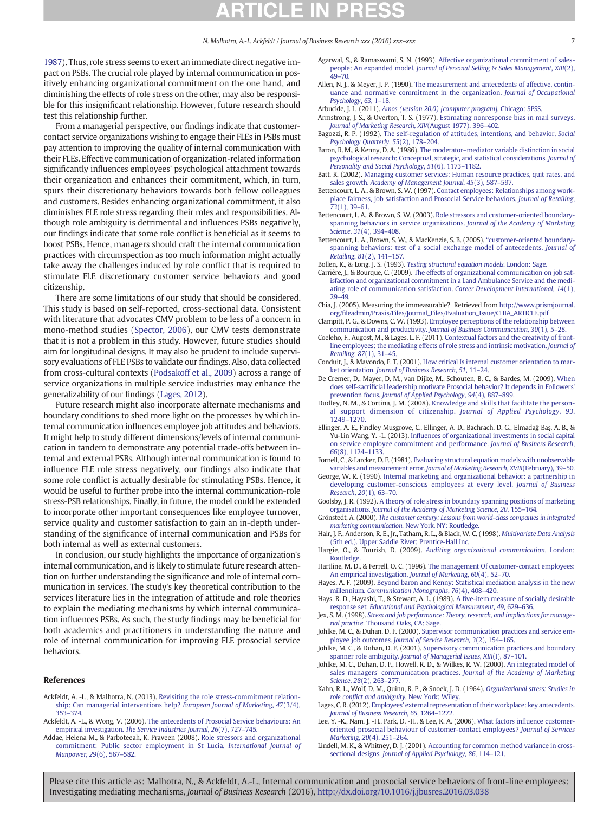# CLE

### N. Malhotra, A.-L. Ackfeldt / Journal of Business Research xxx (2016) xxx–xxx 7

<span id="page-6-0"></span>[1987](#page-7-0)). Thus, role stress seems to exert an immediate direct negative impact on PSBs. The crucial role played by internal communication in positively enhancing organizational commitment on the one hand, and diminishing the effects of role stress on the other, may also be responsible for this insignificant relationship. However, future research should test this relationship further.

From a managerial perspective, our findings indicate that customercontact service organizations wishing to engage their FLEs in PSBs must pay attention to improving the quality of internal communication with their FLEs. Effective communication of organization-related information significantly influences employees' psychological attachment towards their organization and enhances their commitment, which, in turn, spurs their discretionary behaviors towards both fellow colleagues and customers. Besides enhancing organizational commitment, it also diminishes FLE role stress regarding their roles and responsibilities. Although role ambiguity is detrimental and influences PSBs negatively, our findings indicate that some role conflict is beneficial as it seems to boost PSBs. Hence, managers should craft the internal communication practices with circumspection as too much information might actually take away the challenges induced by role conflict that is required to stimulate FLE discretionary customer service behaviors and good citizenship.

There are some limitations of our study that should be considered. This study is based on self-reported, cross-sectional data. Consistent with literature that advocates CMV problem to be less of a concern in mono-method studies [\(Spector, 2006](#page-7-0)), our CMV tests demonstrate that it is not a problem in this study. However, future studies should aim for longitudinal designs. It may also be prudent to include supervisory evaluations of FLE PSBs to validate our findings. Also, data collected from cross-cultural contexts [\(Podsakoff et al., 2009](#page-7-0)) across a range of service organizations in multiple service industries may enhance the generalizability of our findings (Lages, 2012).

Future research might also incorporate alternate mechanisms and boundary conditions to shed more light on the processes by which internal communication influences employee job attitudes and behaviors. It might help to study different dimensions/levels of internal communication in tandem to demonstrate any potential trade-offs between internal and external PSBs. Although internal communication is found to influence FLE role stress negatively, our findings also indicate that some role conflict is actually desirable for stimulating PSBs. Hence, it would be useful to further probe into the internal communication-role stress-PSB relationships. Finally, in future, the model could be extended to incorporate other important consequences like employee turnover, service quality and customer satisfaction to gain an in-depth understanding of the significance of internal communication and PSBs for both internal as well as external customers.

In conclusion, our study highlights the importance of organization's internal communication, and is likely to stimulate future research attention on further understanding the significance and role of internal communication in services. The study's key theoretical contribution to the services literature lies in the integration of attitude and role theories to explain the mediating mechanisms by which internal communication influences PSBs. As such, the study findings may be beneficial for both academics and practitioners in understanding the nature and role of internal communication for improving FLE prosocial service behaviors.

## References

- Ackfeldt, A. -L., & Malhotra, N. (2013). [Revisiting the role stress-commitment relation](http://refhub.elsevier.com/S0148-2963(16)30058-3/rf0005)[ship: Can managerial interventions help?](http://refhub.elsevier.com/S0148-2963(16)30058-3/rf0005) European Journal of Marketing, 47(3/4), 353–[374.](http://refhub.elsevier.com/S0148-2963(16)30058-3/rf0005)
- Ackfeldt, A. -L., & Wong, V. (2006). [The antecedents of Prosocial Service behaviours: An](http://refhub.elsevier.com/S0148-2963(16)30058-3/rf0010) empirical investigation. [The Service Industries Journal](http://refhub.elsevier.com/S0148-2963(16)30058-3/rf0010), 26(7), 727–745.
- Addae, Helena M., & Parboteeah, K. Praveen (2008). [Role stressors and organizational](http://refhub.elsevier.com/S0148-2963(16)30058-3/rf0015) [commitment: Public sector employment in St Lucia.](http://refhub.elsevier.com/S0148-2963(16)30058-3/rf0015) International Journal of [Manpower](http://refhub.elsevier.com/S0148-2963(16)30058-3/rf0015), 29(6), 567–582.
- Agarwal, S., & Ramaswami, S. N. (1993). [Affective organizational commitment of sales-](http://refhub.elsevier.com/S0148-2963(16)30058-3/rf0020)people: An expanded model. [Journal of Personal Selling & Sales Management](http://refhub.elsevier.com/S0148-2963(16)30058-3/rf0020), XIII(2), 49–[70.](http://refhub.elsevier.com/S0148-2963(16)30058-3/rf0020)
- Allen, N. J., & Meyer, J. P. (1990). [The measurement and antecedents of affective, contin](http://refhub.elsevier.com/S0148-2963(16)30058-3/rf0025)[uance and normative commitment in the organization.](http://refhub.elsevier.com/S0148-2963(16)30058-3/rf0025) Journal of Occupational [Psychology](http://refhub.elsevier.com/S0148-2963(16)30058-3/rf0025), 63, 1–18.
- Arbuckle, J. L. (2011). [Amos \(version 20.0\) \[computer program\].](http://refhub.elsevier.com/S0148-2963(16)30058-3/rf0030) Chicago: SPSS.
- Armstrong, J. S., & Overton, T. S. (1977). [Estimating nonresponse bias in mail surveys.](http://refhub.elsevier.com/S0148-2963(16)30058-3/rf0035) [Journal of Marketing Research](http://refhub.elsevier.com/S0148-2963(16)30058-3/rf0035), XIV(August 1977), 396–402.
- Bagozzi, R. P. (1992). [The self-regulation of attitudes, intentions, and behavior.](http://refhub.elsevier.com/S0148-2963(16)30058-3/rf0040) Social [Psychology Quarterly](http://refhub.elsevier.com/S0148-2963(16)30058-3/rf0040), 55(2), 178–204.
- Baron, R. M., & Kenny, D. A. (1986). The moderator–[mediator variable distinction in social](http://refhub.elsevier.com/S0148-2963(16)30058-3/rf0045) [psychological research: Conceptual, strategic, and statistical considerations.](http://refhub.elsevier.com/S0148-2963(16)30058-3/rf0045) Journal of [Personality and Social Psychology](http://refhub.elsevier.com/S0148-2963(16)30058-3/rf0045), 51(6), 1173–1182.
- Batt, R. (2002). [Managing customer services: Human resource practices, quit rates, and](http://refhub.elsevier.com/S0148-2963(16)30058-3/rf0050) sales growth. [Academy of Management Journal](http://refhub.elsevier.com/S0148-2963(16)30058-3/rf0050), 45(3), 587–597.
- Bettencourt, L. A., & Brown, S. W. (1997). [Contact employees: Relationships among work](http://refhub.elsevier.com/S0148-2963(16)30058-3/rf0055)[place fairness, job satisfaction and Prosocial Service behaviors.](http://refhub.elsevier.com/S0148-2963(16)30058-3/rf0055) Journal of Retailing, 73[\(1\), 39](http://refhub.elsevier.com/S0148-2963(16)30058-3/rf0055)–61.
- Bettencourt, L. A., & Brown, S. W. (2003). [Role stressors and customer-oriented boundary](http://refhub.elsevier.com/S0148-2963(16)30058-3/rf0060)[spanning behaviors in service organizations.](http://refhub.elsevier.com/S0148-2963(16)30058-3/rf0060) Journal of the Academy of Marketing Science, 31[\(4\), 394](http://refhub.elsevier.com/S0148-2963(16)30058-3/rf0060)–408.
- Bettencourt, L. A., Brown, S. W., & MacKenzie, S. B. (2005). "[customer-oriented boundary](http://refhub.elsevier.com/S0148-2963(16)30058-3/rf0065)[spanning behaviors: test of a social exchange model of antecedents.](http://refhub.elsevier.com/S0148-2963(16)30058-3/rf0065) Journal of [Retailing](http://refhub.elsevier.com/S0148-2963(16)30058-3/rf0065), 81(2), 141–157.
- Bollen, K., & Long, J. S. (1993). [Testing structural equation models.](http://refhub.elsevier.com/S0148-2963(16)30058-3/rf0070) London: Sage.
- Carrière, J., & Bourque, C. (2009). [The effects of organizational communication on job sat](http://refhub.elsevier.com/S0148-2963(16)30058-3/rf0075)[isfaction and organizational commitment in a Land Ambulance Service and the medi](http://refhub.elsevier.com/S0148-2963(16)30058-3/rf0075)[ating role of communication satisfaction.](http://refhub.elsevier.com/S0148-2963(16)30058-3/rf0075) Career Development International, 14(1), 29–[49.](http://refhub.elsevier.com/S0148-2963(16)30058-3/rf0075)
- Chia, J. (2005). Measuring the immeasurable? Retrieved from [http://www.prismjournal.](http://www.prismjournal.org/fileadmin/Praxis/Files/Journal_Files/Evaluation_Issue/CHIA_ARTICLE.pdf) org/fi[leadmin/Praxis/Files/Journal\\_Files/Evaluation\\_Issue/CHIA\\_ARTICLE.pdf](http://www.prismjournal.org/fileadmin/Praxis/Files/Journal_Files/Evaluation_Issue/CHIA_ARTICLE.pdf)
- Clampitt, P. G., & Downs, C. W. (1993). [Employee perceptions of the relationship between](http://refhub.elsevier.com/S0148-2963(16)30058-3/rf0085) communication and productivity. [Journal of Business Communication](http://refhub.elsevier.com/S0148-2963(16)30058-3/rf0085), 30(1), 5–28.
- Coeleho, F., Augost, M., & Lages, L. F. (2011). [Contextual factors and the creativity of front](http://refhub.elsevier.com/S0148-2963(16)30058-3/rf0090)[line employees: the mediating effects of role stress and intrinsic motivation.](http://refhub.elsevier.com/S0148-2963(16)30058-3/rf0090) Journal of [Retailing](http://refhub.elsevier.com/S0148-2963(16)30058-3/rf0090), 87(1), 31–45.
- Conduit, J., & Mavondo, F. T. (2001). [How critical Is internal customer orientation to mar](http://refhub.elsevier.com/S0148-2963(16)30058-3/rf0095)ket orientation. [Journal of Business Research](http://refhub.elsevier.com/S0148-2963(16)30058-3/rf0095), 51, 11–24.
- De Cremer, D., Mayer, D. M., van Dijke, M., Schouten, B. C., & Bardes, M. (2009). [When](http://refhub.elsevier.com/S0148-2963(16)30058-3/rf0100) does self-sacrifi[cial leadership motivate Prosocial behavior? It depends in Followers'](http://refhub.elsevier.com/S0148-2963(16)30058-3/rf0100) prevention focus. [Journal of Applied Psychology](http://refhub.elsevier.com/S0148-2963(16)30058-3/rf0100), 94(4), 887–899.
- Dudley, N. M., & Cortina, J. M. (2008). [Knowledge and skills that facilitate the person](http://refhub.elsevier.com/S0148-2963(16)30058-3/rf0105)[al support dimension of citizenship.](http://refhub.elsevier.com/S0148-2963(16)30058-3/rf0105) Journal of Applied Psychology, 93, 1249–[1270.](http://refhub.elsevier.com/S0148-2963(16)30058-3/rf0105)
- Ellinger, A. E., Findley Musgrove, C., Ellinger, A. D., Bachrach, D. G., Elmadağ Baş, A. B., & Yu-Lin Wang, Y. -L. (2013). Infl[uences of organizational investments in social capital](http://refhub.elsevier.com/S0148-2963(16)30058-3/rf0110) [on service employee commitment and performance.](http://refhub.elsevier.com/S0148-2963(16)30058-3/rf0110) Journal of Business Research, 66[\(8\), 1124](http://refhub.elsevier.com/S0148-2963(16)30058-3/rf0110)–1133.
- Fornell, C., & Larcker, D. F. (1981). [Evaluating structural equation models with unobservable](http://refhub.elsevier.com/S0148-2963(16)30058-3/rf0115) [variables and measurement error.](http://refhub.elsevier.com/S0148-2963(16)30058-3/rf0115) Journal of Marketing Research, XVIII(February), 39–50.
- George, W. R. (1990). [Internal marketing and organizational behavior: a partnership in](http://refhub.elsevier.com/S0148-2963(16)30058-3/rf0120) [developing customer-conscious employees at every level.](http://refhub.elsevier.com/S0148-2963(16)30058-3/rf0120) Journal of Business [Research](http://refhub.elsevier.com/S0148-2963(16)30058-3/rf0120), 20(1), 63–70.
- Goolsby, J. R. (1992). [A theory of role stress in boundary spanning positions of marketing](http://refhub.elsevier.com/S0148-2963(16)30058-3/rf0125) organisations. [Journal of the Academy of Marketing Science](http://refhub.elsevier.com/S0148-2963(16)30058-3/rf0125), 20, 155–164.
- Grönstedt, A. (2000). [The customer century: Lessons from world-class companies in integrated](http://refhub.elsevier.com/S0148-2963(16)30058-3/rf0130) marketing communication. [New York, NY: Routledge.](http://refhub.elsevier.com/S0148-2963(16)30058-3/rf0130)
- Hair, J. F., Anderson, R. E., Jr., Tatham, R. L., & Black, W. C. (1998). [Multivariate Data Analysis](http://refhub.elsevier.com/S0148-2963(16)30058-3/rf0135) [\(5th ed.\). Upper Saddle River: Prentice-Hall Inc.](http://refhub.elsevier.com/S0148-2963(16)30058-3/rf0135)
- Hargie, O., & Tourish, D. (2009). [Auditing organizational communication.](http://refhub.elsevier.com/S0148-2963(16)30058-3/rf0140) London: **Routledge**
- Hartline, M. D., & Ferrell, O. C. (1996). [The management Of customer-contact employees:](http://refhub.elsevier.com/S0148-2963(16)30058-3/rf0145) [An empirical investigation.](http://refhub.elsevier.com/S0148-2963(16)30058-3/rf0145) Journal of Marketing, 60(4), 52–70.
- Hayes, A. F. (2009). [Beyond baron and Kenny: Statistical mediation analysis in the new](http://refhub.elsevier.com/S0148-2963(16)30058-3/rf0150) millennium. [Communication Monographs](http://refhub.elsevier.com/S0148-2963(16)30058-3/rf0150), 76(4), 408–420.
- Hays, R. D., Hayashi, T., & Stewart, A. L. (1989). A fi[ve-item measure of socially desirable](http://refhub.elsevier.com/S0148-2963(16)30058-3/rf0155) response set. [Educational and Psychological Measurement](http://refhub.elsevier.com/S0148-2963(16)30058-3/rf0155), 49, 629–636.
- Jex, S. M. (1998). [Stress and job performance: Theory, research, and implications for manage](http://refhub.elsevier.com/S0148-2963(16)30058-3/rf0160)rial practice. [Thousand Oaks, CA: Sage.](http://refhub.elsevier.com/S0148-2963(16)30058-3/rf0160)
- Johlke, M. C., & Duhan, D. F. (2000). [Supervisor communication practices and service em](http://refhub.elsevier.com/S0148-2963(16)30058-3/rf0165)ployee job outcomes. [Journal of Service Research](http://refhub.elsevier.com/S0148-2963(16)30058-3/rf0165), 3(2), 154–165.
- Johlke, M. C., & Duhan, D. F. (2001). [Supervisory communication practices and boundary](http://refhub.elsevier.com/S0148-2963(16)30058-3/rf0170) spanner role ambiguity. [Journal of Managerial Issues](http://refhub.elsevier.com/S0148-2963(16)30058-3/rf0170), XIII(I), 87–101.
- Johlke, M. C., Duhan, D. F., Howell, R. D., & Wilkes, R. W. (2000). [An integrated model of](http://refhub.elsevier.com/S0148-2963(16)30058-3/rf0175) [sales managers' communication practices.](http://refhub.elsevier.com/S0148-2963(16)30058-3/rf0175) Journal of the Academy of Marketing Science, 28[\(2\), 263](http://refhub.elsevier.com/S0148-2963(16)30058-3/rf0175)–277.
- Kahn, R. L., Wolf, D. M., Quinn, R. P., & Snoek, J. D. (1964). [Organizational stress: Studies in](http://refhub.elsevier.com/S0148-2963(16)30058-3/rf0180) role conflict and ambiguity. [New York: Wiley.](http://refhub.elsevier.com/S0148-2963(16)30058-3/rf0180)
- Lages, C. R. (2012). [Employees' external representation of their workplace: key antecedents.](http://refhub.elsevier.com/S0148-2963(16)30058-3/rf0185) [Journal of Business Research](http://refhub.elsevier.com/S0148-2963(16)30058-3/rf0185), 65, 1264–1272.
- Lee, Y. -K., Nam, J. -H., Park, D. -H., & Lee, K. A. (2006). What factors infl[uence customer](http://refhub.elsevier.com/S0148-2963(16)30058-3/rf0190)[oriented prosocial behaviour of customer-contact employees?](http://refhub.elsevier.com/S0148-2963(16)30058-3/rf0190) Journal of Services [Marketing](http://refhub.elsevier.com/S0148-2963(16)30058-3/rf0190), 20(4), 251–264.
- Lindell, M. K., & Whitney, D. J. (2001). [Accounting for common method variance in cross](http://refhub.elsevier.com/S0148-2963(16)30058-3/rf2555)sectional designs. [Journal of Applied Psychology](http://refhub.elsevier.com/S0148-2963(16)30058-3/rf2555), 86, 114–121.